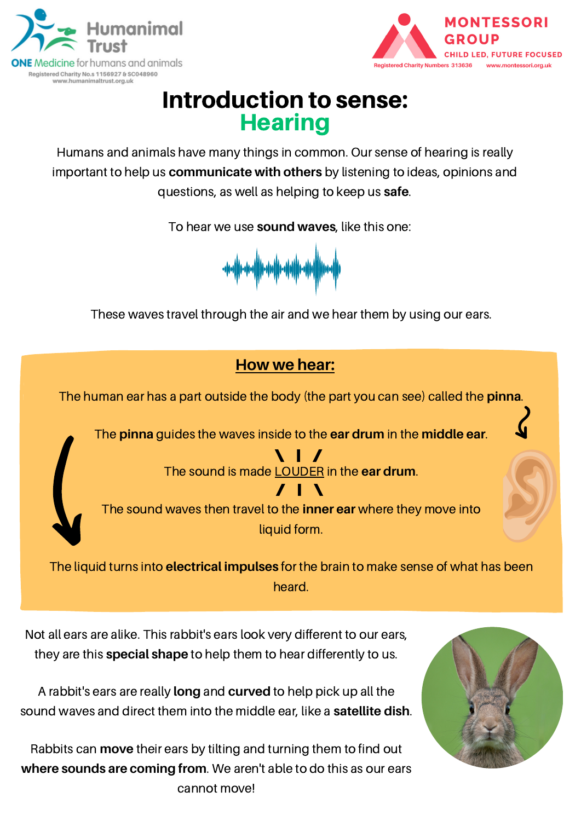



# Introduction to sense: **Hearing**

Humans and animals have many things in common. Our sense of hearing is really important to help us **communicate with others** by listening to ideas, opinions and questions, as well as helping to keep us **safe**.

To hear we use **sound waves**, like this one:



These waves travel through the air and we hear them by using our ears.



The human ear has a part outside the body (the part you can see) called the **pinna**.

The **pinna** guides the waves inside to the **ear drum** in the **middle ear**.

 $\blacksquare$ The sound is made LOUDER in the **ear drum**.



The sound waves then travel to the **inner ear** where they move into liquid form.

The liquid turns into **electrical impulses** for the brain to make sense of what has been heard.

Not all ears are alike. This rabbit's ears look very different to our ears, they are this **special shape** to help them to hear differently to us.

A rabbit's ears are really **long** and **curved** to help pick up all the sound waves and direct them into the middle ear, like a **satellite dish**.

Rabbits can **move** their ears by tilting and turning them to find out **where sounds are coming from**. We aren't able to do this as our ears cannot move!

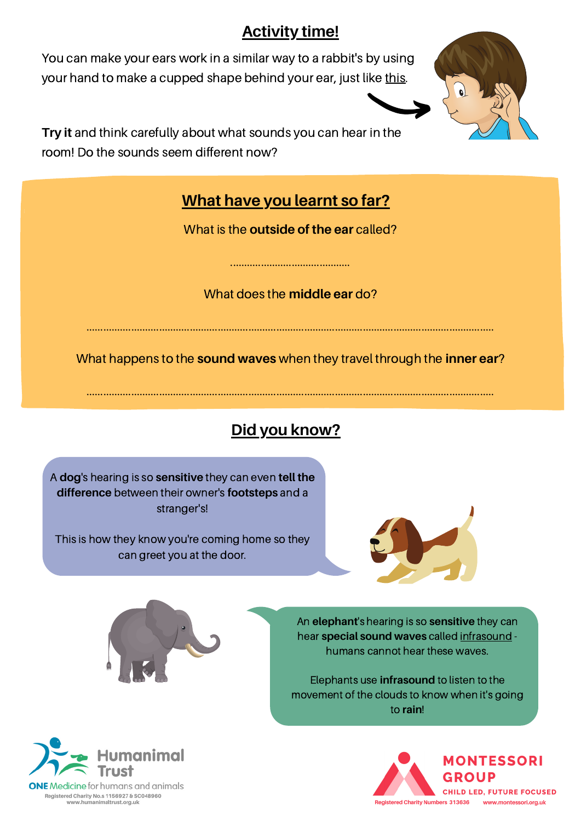### **Activity time!**

You can make your ears work in a similar way to a rabbit's by using your hand to make a cupped shape behind your ear, just like this.



**Try it** and think carefully about what sounds you can hear in the room! Do the sounds seem different now?

### **What have you learnt so far?**

What is the **outside of the ear** called?

What does the **middle ear** do?

...........................................

..................................................................................................................................................

What happens to the **sound waves** when they travel through the **inner ear**?

..................................................................................................................................................

**Did you know?**

A **dog**'s hearing is so **sensitive** they can even **tell the difference** between their owner's **footsteps** and a stranger's!

This is how they know you're coming home so they can greet you at the door.



An **elephant**'s hearing is so **sensitive** they can hear **special sound waves** called infrasound humans cannot hear these waves.



Elephants use **infrasound** to listen to the movement of the clouds to know when it's going to **rain**!



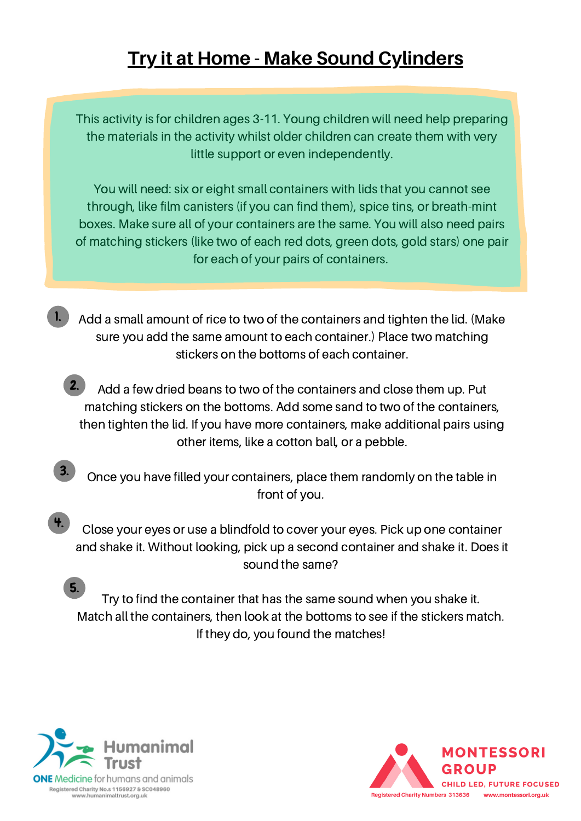## **Try it at Home - Make Sound Cylinders**

This activity is for children ages 3-11. Young children will need help preparing the materials in the activity whilst older children can create them with very little support or even independently.

You will need: six or eight small containers with lids that you cannot see through, like film canisters (if you can find them), spice tins, or breath-mint boxes. Make sure all of your containers are the same. You will also need pairs of matching stickers (like two of each red dots, green dots, gold stars) one pair for each of your pairs of containers.

- Add a small amount of rice to two of the containers and tighten the lid. (Make sure you add the same amount to each container.) Place two matching stickers on the bottoms of each container. 1.
	- Add a few dried beans to two of the containers and close them up. Put matching stickers on the bottoms. Add some sand to two of the containers, then tighten the lid. If you have more containers, make additional pairs using other items, like a cotton ball, or a pebble. 2.
- 3.

Once you have filled your containers, place them randomly on the table in front of you.

Close your eyes or use a blindfold to cover your eyes. Pick up one container and shake it. Without looking, pick up a second container and shake it. Does it sound the same? 4.

Try to find the container that has the same sound when you shake it. Match all the containers, then look at the bottoms to see if the stickers match. If they do, you found the matches! 5.



**ONE** Medicine for humans and animals Registered Charity No.s 1156927 & SC048960 www.humanimaltrust.org.uk